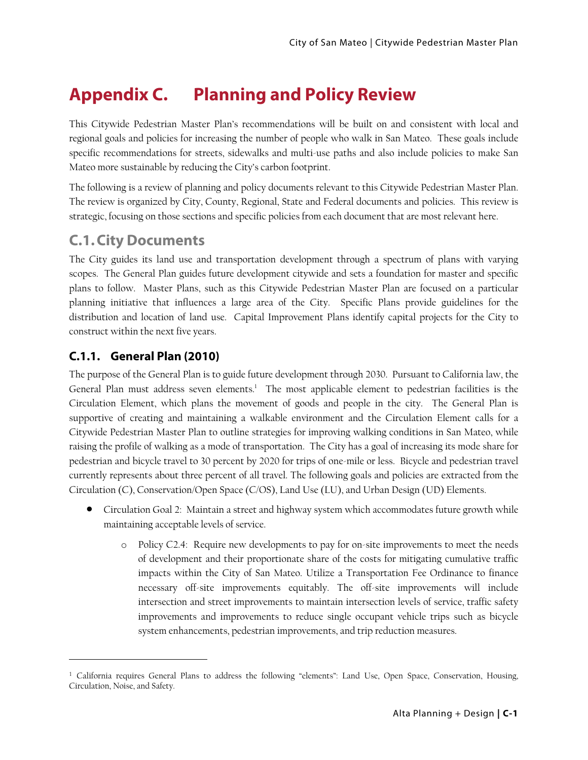# **Appendix C. Planning and Policy Review**

This Citywide Pedestrian Master Plan's recommendations will be built on and consistent with local and regional goals and policies for increasing the number of people who walk in San Mateo. These goals include specific recommendations for streets, sidewalks and multi-use paths and also include policies to make San Mateo more sustainable by reducing the City's carbon footprint.

The following is a review of planning and policy documents relevant to this Citywide Pedestrian Master Plan. The review is organized by City, County, Regional, State and Federal documents and policies. This review is strategic, focusing on those sections and specific policies from each document that are most relevant here.

# **C.1.City Documents**

The City guides its land use and transportation development through a spectrum of plans with varying scopes. The General Plan guides future development citywide and sets a foundation for master and specific plans to follow. Master Plans, such as this Citywide Pedestrian Master Plan are focused on a particular planning initiative that influences a large area of the City. Specific Plans provide guidelines for the distribution and location of land use. Capital Improvement Plans identify capital projects for the City to construct within the next five years.

# **C.1.1. General Plan (2010)**

1

The purpose of the General Plan is to guide future development through 2030. Pursuant to California law, the General Plan must address seven elements.<sup>1</sup> The most applicable element to pedestrian facilities is the Circulation Element, which plans the movement of goods and people in the city. The General Plan is supportive of creating and maintaining a walkable environment and the Circulation Element calls for a Citywide Pedestrian Master Plan to outline strategies for improving walking conditions in San Mateo, while raising the profile of walking as a mode of transportation. The City has a goal of increasing its mode share for pedestrian and bicycle travel to 30 percent by 2020 for trips of one-mile or less. Bicycle and pedestrian travel currently represents about three percent of all travel. The following goals and policies are extracted from the Circulation (C), Conservation/Open Space (C/OS), Land Use (LU), and Urban Design (UD) Elements.

- Circulation Goal 2: Maintain a street and highway system which accommodates future growth while maintaining acceptable levels of service.
	- o Policy C2.4: Require new developments to pay for on-site improvements to meet the needs of development and their proportionate share of the costs for mitigating cumulative traffic impacts within the City of San Mateo. Utilize a Transportation Fee Ordinance to finance necessary off-site improvements equitably. The off-site improvements will include intersection and street improvements to maintain intersection levels of service, traffic safety improvements and improvements to reduce single occupant vehicle trips such as bicycle system enhancements, pedestrian improvements, and trip reduction measures.

<sup>1</sup> California requires General Plans to address the following "elements": Land Use, Open Space, Conservation, Housing, Circulation, Noise, and Safety.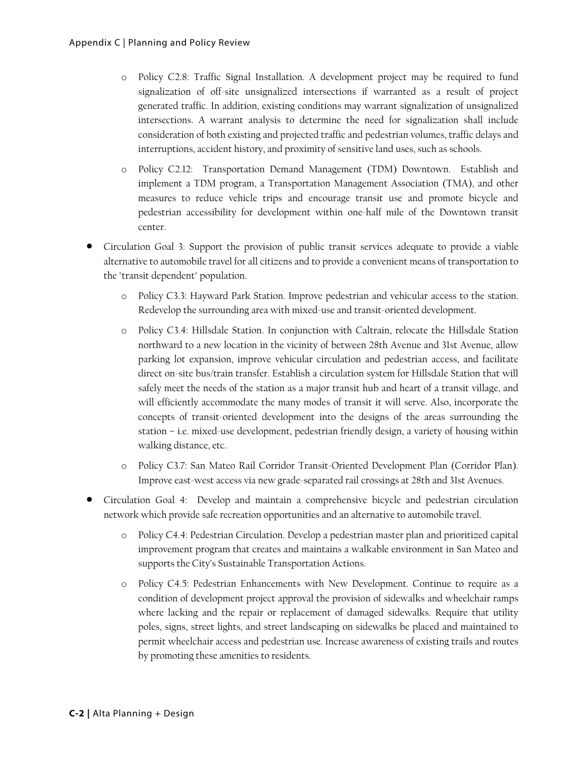- o Policy C2.8: Traffic Signal Installation. A development project may be required to fund signalization of off-site unsignalized intersections if warranted as a result of project generated traffic. In addition, existing conditions may warrant signalization of unsignalized intersections. A warrant analysis to determine the need for signalization shall include consideration of both existing and projected traffic and pedestrian volumes, traffic delays and interruptions, accident history, and proximity of sensitive land uses, such as schools.
- o Policy C2.12: Transportation Demand Management (TDM) Downtown. Establish and implement a TDM program, a Transportation Management Association (TMA), and other measures to reduce vehicle trips and encourage transit use and promote bicycle and pedestrian accessibility for development within one-half mile of the Downtown transit center.
- Circulation Goal 3: Support the provision of public transit services adequate to provide a viable alternative to automobile travel for all citizens and to provide a convenient means of transportation to the "transit dependent" population.
	- o Policy C3.3: Hayward Park Station. Improve pedestrian and vehicular access to the station. Redevelop the surrounding area with mixed-use and transit-oriented development.
	- o Policy C3.4: Hillsdale Station. In conjunction with Caltrain, relocate the Hillsdale Station northward to a new location in the vicinity of between 28th Avenue and 31st Avenue, allow parking lot expansion, improve vehicular circulation and pedestrian access, and facilitate direct on-site bus/train transfer. Establish a circulation system for Hillsdale Station that will safely meet the needs of the station as a major transit hub and heart of a transit village, and will efficiently accommodate the many modes of transit it will serve. Also, incorporate the concepts of transit-oriented development into the designs of the areas surrounding the station – i.e. mixed-use development, pedestrian friendly design, a variety of housing within walking distance, etc.
	- o Policy C3.7: San Mateo Rail Corridor Transit-Oriented Development Plan (Corridor Plan). Improve east-west access via new grade-separated rail crossings at 28th and 31st Avenues.
- Circulation Goal 4: Develop and maintain a comprehensive bicycle and pedestrian circulation network which provide safe recreation opportunities and an alternative to automobile travel.
	- o Policy C4.4: Pedestrian Circulation. Develop a pedestrian master plan and prioritized capital improvement program that creates and maintains a walkable environment in San Mateo and supports the City's Sustainable Transportation Actions.
	- o Policy C4.5: Pedestrian Enhancements with New Development. Continue to require as a condition of development project approval the provision of sidewalks and wheelchair ramps where lacking and the repair or replacement of damaged sidewalks. Require that utility poles, signs, street lights, and street landscaping on sidewalks be placed and maintained to permit wheelchair access and pedestrian use. Increase awareness of existing trails and routes by promoting these amenities to residents.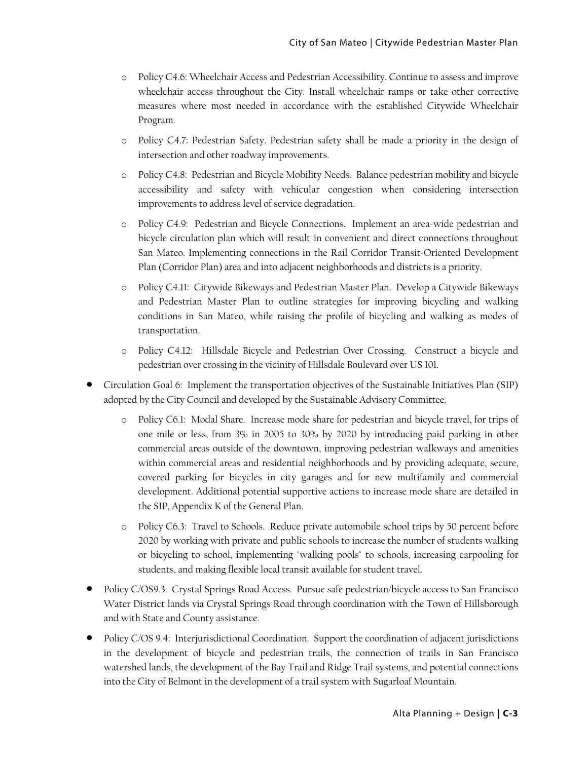- o Policy C4.6: Wheelchair Access and Pedestrian Accessibility. Continue to assess and improve wheelchair access throughout the City. Install wheelchair ramps or take other corrective measures where most needed in accordance with the established Citywide Wheelchair Program.
- o Policy C4.7: Pedestrian Safety. Pedestrian safety shall be made a priority in the design of intersection and other roadway improvements.
- o Policy C4.8: Pedestrian and Bicycle Mobility Needs. Balance pedestrian mobility and bicycle accessibility and safety with vehicular congestion when considering intersection improvements to address level of service degradation.
- o Policy C4.9: Pedestrian and Bicycle Connections. Implement an area-wide pedestrian and bicycle circulation plan which will result in convenient and direct connections throughout San Mateo. Implementing connections in the Rail Corridor Transit-Oriented Development Plan (Corridor Plan) area and into adjacent neighborhoods and districts is a priority.
- o Policy C4.11: Citywide Bikeways and Pedestrian Master Plan. Develop a Citywide Bikeways and Pedestrian Master Plan to outline strategies for improving bicycling and walking conditions in San Mateo, while raising the profile of bicycling and walking as modes of transportation.
- o Policy C4.12: Hillsdale Bicycle and Pedestrian Over Crossing. Construct a bicycle and pedestrian over crossing in the vicinity of Hillsdale Boulevard over US 101.
- Circulation Goal 6: Implement the transportation objectives of the Sustainable Initiatives Plan (SIP) adopted by the City Council and developed by the Sustainable Advisory Committee.
	- o Policy C6.1: Modal Share. Increase mode share for pedestrian and bicycle travel, for trips of one mile or less, from 3% in 2005 to 30% by 2020 by introducing paid parking in other commercial areas outside of the downtown, improving pedestrian walkways and amenities within commercial areas and residential neighborhoods and by providing adequate, secure, covered parking for bicycles in city garages and for new multifamily and commercial development. Additional potential supportive actions to increase mode share are detailed in the SIP, Appendix K of the General Plan.
	- o Policy C6.3: Travel to Schools. Reduce private automobile school trips by 50 percent before 2020 by working with private and public schools to increase the number of students walking or bicycling to school, implementing "walking pools" to schools, increasing carpooling for students, and making flexible local transit available for student travel.
- Policy C/OS9.3: Crystal Springs Road Access. Pursue safe pedestrian/bicycle access to San Francisco Water District lands via Crystal Springs Road through coordination with the Town of Hillsborough and with State and County assistance.
- Policy C/OS 9.4: Interjurisdictional Coordination. Support the coordination of adjacent jurisdictions in the development of bicycle and pedestrian trails, the connection of trails in San Francisco watershed lands, the development of the Bay Trail and Ridge Trail systems, and potential connections into the City of Belmont in the development of a trail system with Sugarloaf Mountain.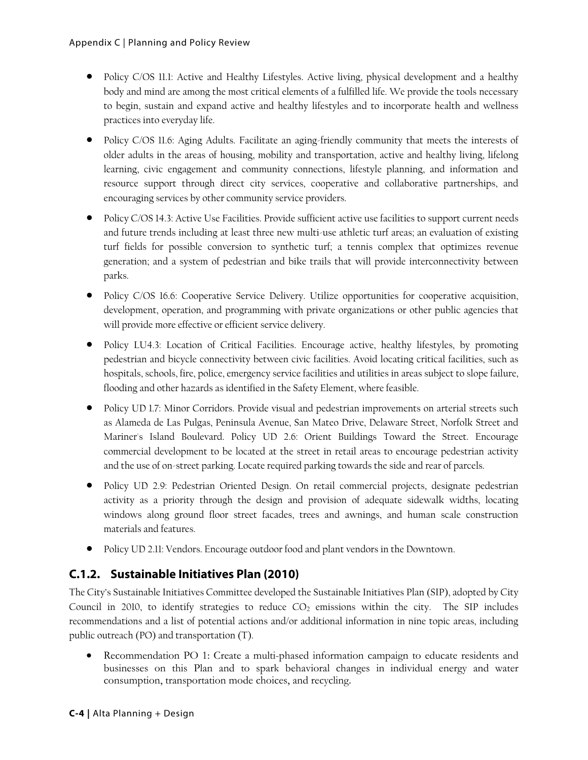- Policy C/OS 11.1: Active and Healthy Lifestyles. Active living, physical development and a healthy body and mind are among the most critical elements of a fulfilled life. We provide the tools necessary to begin, sustain and expand active and healthy lifestyles and to incorporate health and wellness practices into everyday life.
- Policy C/OS 11.6: Aging Adults. Facilitate an aging-friendly community that meets the interests of older adults in the areas of housing, mobility and transportation, active and healthy living, lifelong learning, civic engagement and community connections, lifestyle planning, and information and resource support through direct city services, cooperative and collaborative partnerships, and encouraging services by other community service providers.
- Policy C/OS 14.3: Active Use Facilities. Provide sufficient active use facilities to support current needs and future trends including at least three new multi-use athletic turf areas; an evaluation of existing turf fields for possible conversion to synthetic turf; a tennis complex that optimizes revenue generation; and a system of pedestrian and bike trails that will provide interconnectivity between parks.
- Policy C/OS 16.6: Cooperative Service Delivery. Utilize opportunities for cooperative acquisition, development, operation, and programming with private organizations or other public agencies that will provide more effective or efficient service delivery.
- Policy LU4.3: Location of Critical Facilities. Encourage active, healthy lifestyles, by promoting pedestrian and bicycle connectivity between civic facilities. Avoid locating critical facilities, such as hospitals, schools, fire, police, emergency service facilities and utilities in areas subject to slope failure, flooding and other hazards as identified in the Safety Element, where feasible.
- Policy UD 1.7: Minor Corridors. Provide visual and pedestrian improvements on arterial streets such as Alameda de Las Pulgas, Peninsula Avenue, San Mateo Drive, Delaware Street, Norfolk Street and Mariner's Island Boulevard. Policy UD 2.6: Orient Buildings Toward the Street. Encourage commercial development to be located at the street in retail areas to encourage pedestrian activity and the use of on-street parking. Locate required parking towards the side and rear of parcels.
- Policy UD 2.9: Pedestrian Oriented Design. On retail commercial projects, designate pedestrian activity as a priority through the design and provision of adequate sidewalk widths, locating windows along ground floor street facades, trees and awnings, and human scale construction materials and features.
- Policy UD 2.11: Vendors. Encourage outdoor food and plant vendors in the Downtown.

# **C.1.2. Sustainable Initiatives Plan (2010)**

The City's Sustainable Initiatives Committee developed the Sustainable Initiatives Plan (SIP), adopted by City Council in 2010, to identify strategies to reduce  $CO<sub>2</sub>$  emissions within the city. The SIP includes recommendations and a list of potential actions and/or additional information in nine topic areas, including public outreach (PO) and transportation (T).

 Recommendation PO 1: Create a multi-phased information campaign to educate residents and businesses on this Plan and to spark behavioral changes in individual energy and water consumption, transportation mode choices, and recycling.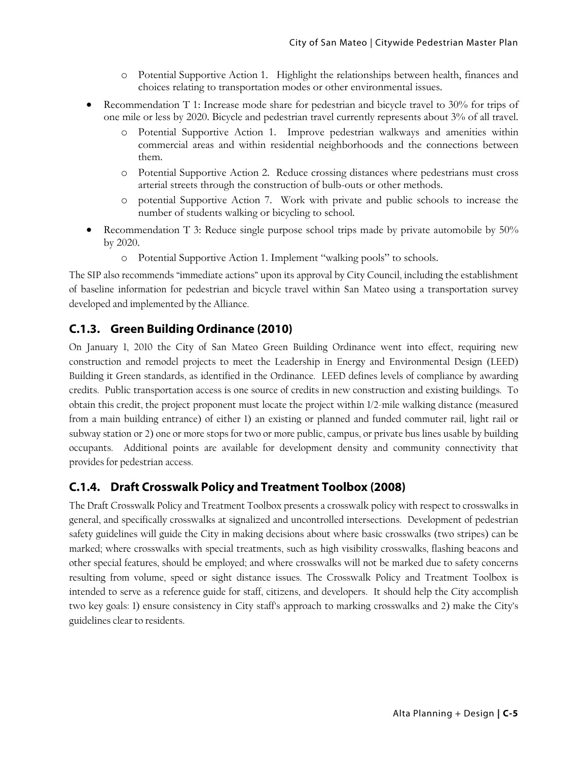- o Potential Supportive Action 1. Highlight the relationships between health, finances and choices relating to transportation modes or other environmental issues.
- Recommendation T 1: Increase mode share for pedestrian and bicycle travel to 30% for trips of one mile or less by 2020. Bicycle and pedestrian travel currently represents about 3% of all travel.
	- o Potential Supportive Action 1. Improve pedestrian walkways and amenities within commercial areas and within residential neighborhoods and the connections between them.
	- o Potential Supportive Action 2. Reduce crossing distances where pedestrians must cross arterial streets through the construction of bulb-outs or other methods.
	- o potential Supportive Action 7. Work with private and public schools to increase the number of students walking or bicycling to school.
- Recommendation T 3: Reduce single purpose school trips made by private automobile by 50% by 2020.
	- o Potential Supportive Action 1. Implement "walking pools" to schools.

The SIP also recommends "immediate actions" upon its approval by City Council, including the establishment of baseline information for pedestrian and bicycle travel within San Mateo using a transportation survey developed and implemented by the Alliance.

#### **C.1.3. Green Building Ordinance (2010)**

On January 1, 2010 the City of San Mateo Green Building Ordinance went into effect, requiring new construction and remodel projects to meet the Leadership in Energy and Environmental Design (LEED) Building it Green standards, as identified in the Ordinance. LEED defines levels of compliance by awarding credits. Public transportation access is one source of credits in new construction and existing buildings. To obtain this credit, the project proponent must locate the project within 1/2-mile walking distance (measured from a main building entrance) of either 1) an existing or planned and funded commuter rail, light rail or subway station or 2) one or more stops for two or more public, campus, or private bus lines usable by building occupants. Additional points are available for development density and community connectivity that provides for pedestrian access.

# **C.1.4. Draft Crosswalk Policy and Treatment Toolbox (2008)**

The Draft Crosswalk Policy and Treatment Toolbox presents a crosswalk policy with respect to crosswalks in general, and specifically crosswalks at signalized and uncontrolled intersections. Development of pedestrian safety guidelines will guide the City in making decisions about where basic crosswalks (two stripes) can be marked; where crosswalks with special treatments, such as high visibility crosswalks, flashing beacons and other special features, should be employed; and where crosswalks will not be marked due to safety concerns resulting from volume, speed or sight distance issues. The Crosswalk Policy and Treatment Toolbox is intended to serve as a reference guide for staff, citizens, and developers. It should help the City accomplish two key goals: 1) ensure consistency in City staff's approach to marking crosswalks and 2) make the City's guidelines clear to residents.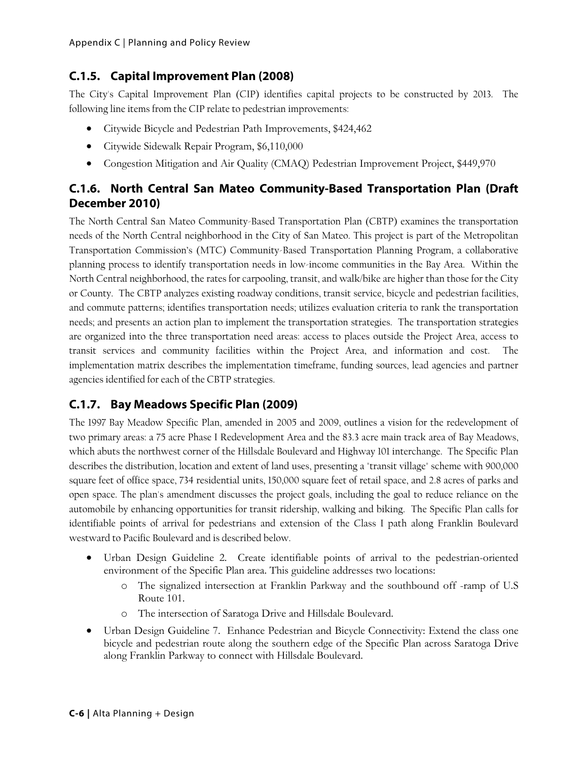### **C.1.5. Capital Improvement Plan (2008)**

The City's Capital Improvement Plan (CIP) identifies capital projects to be constructed by 2013. The following line items from the CIP relate to pedestrian improvements:

- Citywide Bicycle and Pedestrian Path Improvements, \$424,462
- Citywide Sidewalk Repair Program, \$6,110,000
- Congestion Mitigation and Air Quality (CMAQ) Pedestrian Improvement Project, \$449,970

# **C.1.6. North Central San Mateo Community-Based Transportation Plan (Draft December 2010)**

The North Central San Mateo Community-Based Transportation Plan (CBTP) examines the transportation needs of the North Central neighborhood in the City of San Mateo. This project is part of the Metropolitan Transportation Commission's (MTC) Community-Based Transportation Planning Program, a collaborative planning process to identify transportation needs in low-income communities in the Bay Area. Within the North Central neighborhood, the rates for carpooling, transit, and walk/bike are higher than those for the City or County. The CBTP analyzes existing roadway conditions, transit service, bicycle and pedestrian facilities, and commute patterns; identifies transportation needs; utilizes evaluation criteria to rank the transportation needs; and presents an action plan to implement the transportation strategies. The transportation strategies are organized into the three transportation need areas: access to places outside the Project Area, access to transit services and community facilities within the Project Area, and information and cost. The implementation matrix describes the implementation timeframe, funding sources, lead agencies and partner agencies identified for each of the CBTP strategies.

# **C.1.7. Bay Meadows Specific Plan (2009)**

The 1997 Bay Meadow Specific Plan, amended in 2005 and 2009, outlines a vision for the redevelopment of two primary areas: a 75 acre Phase I Redevelopment Area and the 83.3 acre main track area of Bay Meadows, which abuts the northwest corner of the Hillsdale Boulevard and Highway 101 interchange. The Specific Plan describes the distribution, location and extent of land uses, presenting a "transit village" scheme with 900,000 square feet of office space, 734 residential units, 150,000 square feet of retail space, and 2.8 acres of parks and open space. The plan's amendment discusses the project goals, including the goal to reduce reliance on the automobile by enhancing opportunities for transit ridership, walking and biking. The Specific Plan calls for identifiable points of arrival for pedestrians and extension of the Class I path along Franklin Boulevard westward to Pacific Boulevard and is described below.

- Urban Design Guideline 2. Create identifiable points of arrival to the pedestrian-oriented environment of the Specific Plan area. This guideline addresses two locations:
	- o The signalized intersection at Franklin Parkway and the southbound off -ramp of U.S Route 101.
	- o The intersection of Saratoga Drive and Hillsdale Boulevard.
- Urban Design Guideline 7. Enhance Pedestrian and Bicycle Connectivity: Extend the class one bicycle and pedestrian route along the southern edge of the Specific Plan across Saratoga Drive along Franklin Parkway to connect with Hillsdale Boulevard.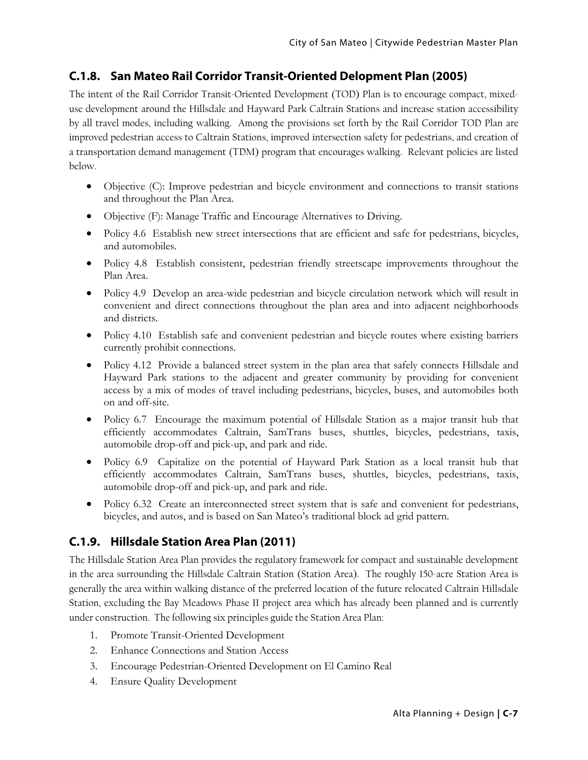#### **C.1.8. San Mateo Rail Corridor Transit-Oriented Delopment Plan (2005)**

The intent of the Rail Corridor Transit-Oriented Development (TOD) Plan is to encourage compact, mixeduse development around the Hillsdale and Hayward Park Caltrain Stations and increase station accessibility by all travel modes, including walking. Among the provisions set forth by the Rail Corridor TOD Plan are improved pedestrian access to Caltrain Stations, improved intersection safety for pedestrians, and creation of a transportation demand management (TDM) program that encourages walking. Relevant policies are listed below.

- Objective (C): Improve pedestrian and bicycle environment and connections to transit stations and throughout the Plan Area.
- Objective (F): Manage Traffic and Encourage Alternatives to Driving.
- Policy 4.6 Establish new street intersections that are efficient and safe for pedestrians, bicycles, and automobiles.
- Policy 4.8 Establish consistent, pedestrian friendly streetscape improvements throughout the Plan Area.
- Policy 4.9 Develop an area-wide pedestrian and bicycle circulation network which will result in convenient and direct connections throughout the plan area and into adjacent neighborhoods and districts.
- Policy 4.10 Establish safe and convenient pedestrian and bicycle routes where existing barriers currently prohibit connections.
- Policy 4.12 Provide a balanced street system in the plan area that safely connects Hillsdale and Hayward Park stations to the adjacent and greater community by providing for convenient access by a mix of modes of travel including pedestrians, bicycles, buses, and automobiles both on and off-site.
- Policy 6.7 Encourage the maximum potential of Hillsdale Station as a major transit hub that efficiently accommodates Caltrain, SamTrans buses, shuttles, bicycles, pedestrians, taxis, automobile drop-off and pick-up, and park and ride.
- Policy 6.9 Capitalize on the potential of Hayward Park Station as a local transit hub that efficiently accommodates Caltrain, SamTrans buses, shuttles, bicycles, pedestrians, taxis, automobile drop-off and pick-up, and park and ride.
- Policy 6.32 Create an interconnected street system that is safe and convenient for pedestrians, bicycles, and autos, and is based on San Mateo's traditional block ad grid pattern.

#### **C.1.9. Hillsdale Station Area Plan (2011)**

The Hillsdale Station Area Plan provides the regulatory framework for compact and sustainable development in the area surrounding the Hillsdale Caltrain Station (Station Area). The roughly 150-acre Station Area is generally the area within walking distance of the preferred location of the future relocated Caltrain Hillsdale Station, excluding the Bay Meadows Phase II project area which has already been planned and is currently under construction. The following six principles guide the Station Area Plan:

- 1. Promote Transit-Oriented Development
- 2. Enhance Connections and Station Access
- 3. Encourage Pedestrian-Oriented Development on El Camino Real
- 4. Ensure Quality Development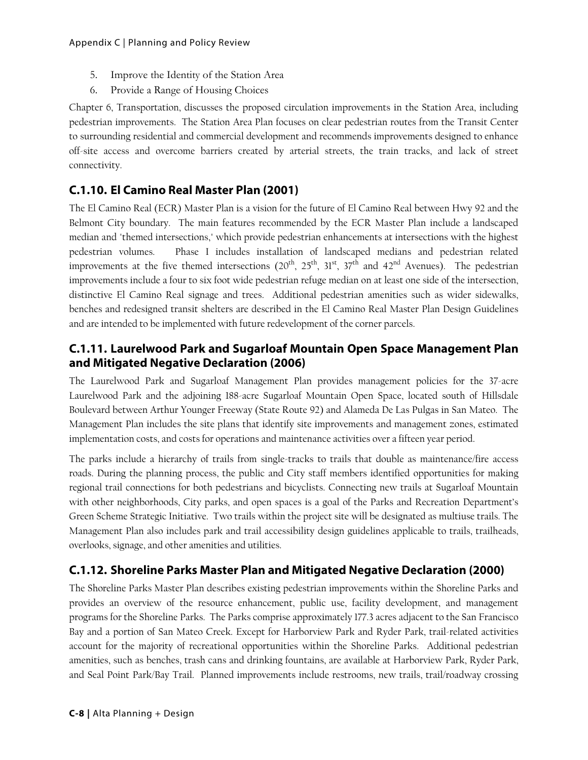- 5. Improve the Identity of the Station Area
- 6. Provide a Range of Housing Choices

Chapter 6, Transportation, discusses the proposed circulation improvements in the Station Area, including pedestrian improvements. The Station Area Plan focuses on clear pedestrian routes from the Transit Center to surrounding residential and commercial development and recommends improvements designed to enhance off-site access and overcome barriers created by arterial streets, the train tracks, and lack of street connectivity.

# **C.1.10. El Camino Real Master Plan (2001)**

The El Camino Real (ECR) Master Plan is a vision for the future of El Camino Real between Hwy 92 and the Belmont City boundary. The main features recommended by the ECR Master Plan include a landscaped median and "themed intersections," which provide pedestrian enhancements at intersections with the highest pedestrian volumes. Phase I includes installation of landscaped medians and pedestrian related improvements at the five themed intersections  $(20^{th}, 25^{th}, 31^{st}, 37^{th}$  and  $42^{nd}$  Avenues). The pedestrian improvements include a four to six foot wide pedestrian refuge median on at least one side of the intersection, distinctive El Camino Real signage and trees. Additional pedestrian amenities such as wider sidewalks, benches and redesigned transit shelters are described in the El Camino Real Master Plan Design Guidelines and are intended to be implemented with future redevelopment of the corner parcels.

### **C.1.11. Laurelwood Park and Sugarloaf Mountain Open Space Management Plan and Mitigated Negative Declaration (2006)**

The Laurelwood Park and Sugarloaf Management Plan provides management policies for the 37-acre Laurelwood Park and the adjoining 188-acre Sugarloaf Mountain Open Space, located south of Hillsdale Boulevard between Arthur Younger Freeway (State Route 92) and Alameda De Las Pulgas in San Mateo. The Management Plan includes the site plans that identify site improvements and management zones, estimated implementation costs, and costs for operations and maintenance activities over a fifteen year period.

The parks include a hierarchy of trails from single-tracks to trails that double as maintenance/fire access roads. During the planning process, the public and City staff members identified opportunities for making regional trail connections for both pedestrians and bicyclists. Connecting new trails at Sugarloaf Mountain with other neighborhoods, City parks, and open spaces is a goal of the Parks and Recreation Department's Green Scheme Strategic Initiative. Two trails within the project site will be designated as multiuse trails. The Management Plan also includes park and trail accessibility design guidelines applicable to trails, trailheads, overlooks, signage, and other amenities and utilities.

# **C.1.12. Shoreline Parks Master Plan and Mitigated Negative Declaration (2000)**

The Shoreline Parks Master Plan describes existing pedestrian improvements within the Shoreline Parks and provides an overview of the resource enhancement, public use, facility development, and management programs for the Shoreline Parks. The Parks comprise approximately 177.3 acres adjacent to the San Francisco Bay and a portion of San Mateo Creek. Except for Harborview Park and Ryder Park, trail-related activities account for the majority of recreational opportunities within the Shoreline Parks. Additional pedestrian amenities, such as benches, trash cans and drinking fountains, are available at Harborview Park, Ryder Park, and Seal Point Park/Bay Trail. Planned improvements include restrooms, new trails, trail/roadway crossing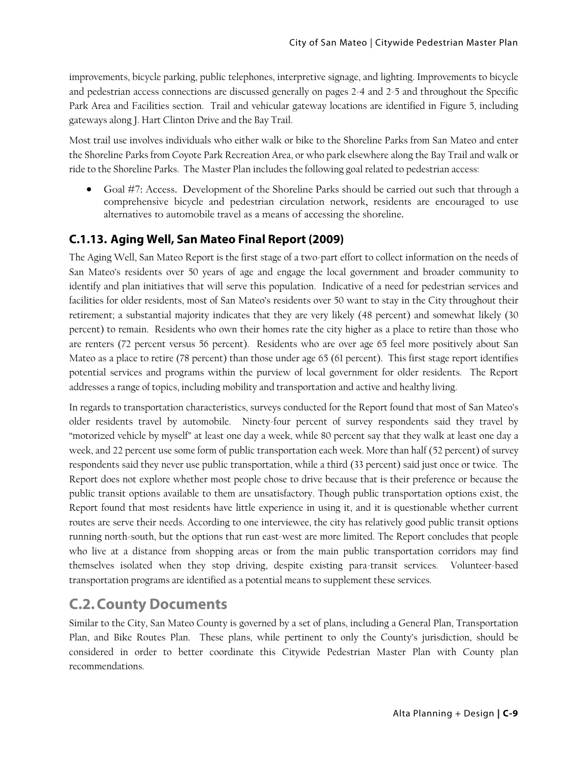improvements, bicycle parking, public telephones, interpretive signage, and lighting. Improvements to bicycle and pedestrian access connections are discussed generally on pages 2-4 and 2-5 and throughout the Specific Park Area and Facilities section. Trail and vehicular gateway locations are identified in Figure 5, including gateways along J. Hart Clinton Drive and the Bay Trail.

Most trail use involves individuals who either walk or bike to the Shoreline Parks from San Mateo and enter the Shoreline Parks from Coyote Park Recreation Area, or who park elsewhere along the Bay Trail and walk or ride to the Shoreline Parks. The Master Plan includes the following goal related to pedestrian access:

 Goal #7: Access. Development of the Shoreline Parks should be carried out such that through a comprehensive bicycle and pedestrian circulation network, residents are encouraged to use alternatives to automobile travel as a means of accessing the shoreline.

#### **C.1.13. Aging Well, San Mateo Final Report (2009)**

The Aging Well, San Mateo Report is the first stage of a two-part effort to collect information on the needs of San Mateo's residents over 50 years of age and engage the local government and broader community to identify and plan initiatives that will serve this population. Indicative of a need for pedestrian services and facilities for older residents, most of San Mateo's residents over 50 want to stay in the City throughout their retirement; a substantial majority indicates that they are very likely (48 percent) and somewhat likely (30 percent) to remain. Residents who own their homes rate the city higher as a place to retire than those who are renters (72 percent versus 56 percent). Residents who are over age 65 feel more positively about San Mateo as a place to retire (78 percent) than those under age 65 (61 percent). This first stage report identifies potential services and programs within the purview of local government for older residents. The Report addresses a range of topics, including mobility and transportation and active and healthy living.

In regards to transportation characteristics, surveys conducted for the Report found that most of San Mateo's older residents travel by automobile. Ninety-four percent of survey respondents said they travel by "motorized vehicle by myself" at least one day a week, while 80 percent say that they walk at least one day a week, and 22 percent use some form of public transportation each week. More than half (52 percent) of survey respondents said they never use public transportation, while a third (33 percent) said just once or twice. The Report does not explore whether most people chose to drive because that is their preference or because the public transit options available to them are unsatisfactory. Though public transportation options exist, the Report found that most residents have little experience in using it, and it is questionable whether current routes are serve their needs. According to one interviewee, the city has relatively good public transit options running north-south, but the options that run east-west are more limited. The Report concludes that people who live at a distance from shopping areas or from the main public transportation corridors may find themselves isolated when they stop driving, despite existing para-transit services. Volunteer-based transportation programs are identified as a potential means to supplement these services.

# **C.2.County Documents**

Similar to the City, San Mateo County is governed by a set of plans, including a General Plan, Transportation Plan, and Bike Routes Plan. These plans, while pertinent to only the County's jurisdiction, should be considered in order to better coordinate this Citywide Pedestrian Master Plan with County plan recommendations.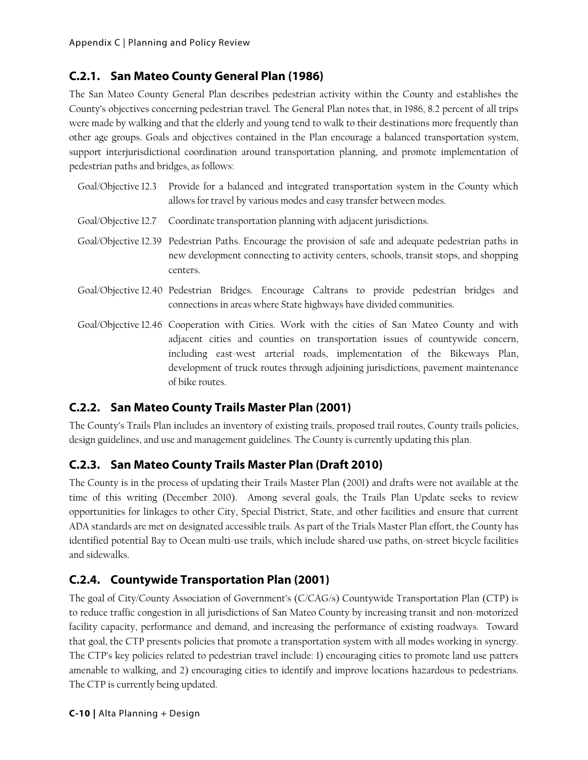# **C.2.1. San Mateo County General Plan (1986)**

The San Mateo County General Plan describes pedestrian activity within the County and establishes the County's objectives concerning pedestrian travel. The General Plan notes that, in 1986, 8.2 percent of all trips were made by walking and that the elderly and young tend to walk to their destinations more frequently than other age groups. Goals and objectives contained in the Plan encourage a balanced transportation system, support interjurisdictional coordination around transportation planning, and promote implementation of pedestrian paths and bridges, as follows:

| Goal/Objective 12.3 Provide for a balanced and integrated transportation system in the County which<br>allows for travel by various modes and easy transfer between modes.                                                                                                                                                                       |
|--------------------------------------------------------------------------------------------------------------------------------------------------------------------------------------------------------------------------------------------------------------------------------------------------------------------------------------------------|
| Goal/Objective 12.7 Coordinate transportation planning with adjacent jurisdictions.                                                                                                                                                                                                                                                              |
| Goal/Objective 12.39 Pedestrian Paths. Encourage the provision of safe and adequate pedestrian paths in<br>new development connecting to activity centers, schools, transit stops, and shopping<br>centers.                                                                                                                                      |
| Goal/Objective 12.40 Pedestrian Bridges. Encourage Caltrans to provide pedestrian bridges and<br>connections in areas where State highways have divided communities.                                                                                                                                                                             |
| Goal/Objective 12.46 Cooperation with Cities. Work with the cities of San Mateo County and with<br>adjacent cities and counties on transportation issues of countywide concern,<br>including east-west arterial roads, implementation of the Bikeways Plan,<br>development of truck routes through adjoining jurisdictions, pavement maintenance |

# **C.2.2. San Mateo County Trails Master Plan (2001)**

of bike routes.

The County's Trails Plan includes an inventory of existing trails, proposed trail routes, County trails policies, design guidelines, and use and management guidelines. The County is currently updating this plan.

# **C.2.3. San Mateo County Trails Master Plan (Draft 2010)**

The County is in the process of updating their Trails Master Plan (2001) and drafts were not available at the time of this writing (December 2010). Among several goals, the Trails Plan Update seeks to review opportunities for linkages to other City, Special District, State, and other facilities and ensure that current ADA standards are met on designated accessible trails. As part of the Trials Master Plan effort, the County has identified potential Bay to Ocean multi-use trails, which include shared-use paths, on-street bicycle facilities and sidewalks.

# **C.2.4. Countywide Transportation Plan (2001)**

The goal of City/County Association of Government's (C/CAG/s) Countywide Transportation Plan (CTP) is to reduce traffic congestion in all jurisdictions of San Mateo County by increasing transit and non-motorized facility capacity, performance and demand, and increasing the performance of existing roadways. Toward that goal, the CTP presents policies that promote a transportation system with all modes working in synergy. The CTP's key policies related to pedestrian travel include: 1) encouraging cities to promote land use patters amenable to walking, and 2) encouraging cities to identify and improve locations hazardous to pedestrians. The CTP is currently being updated.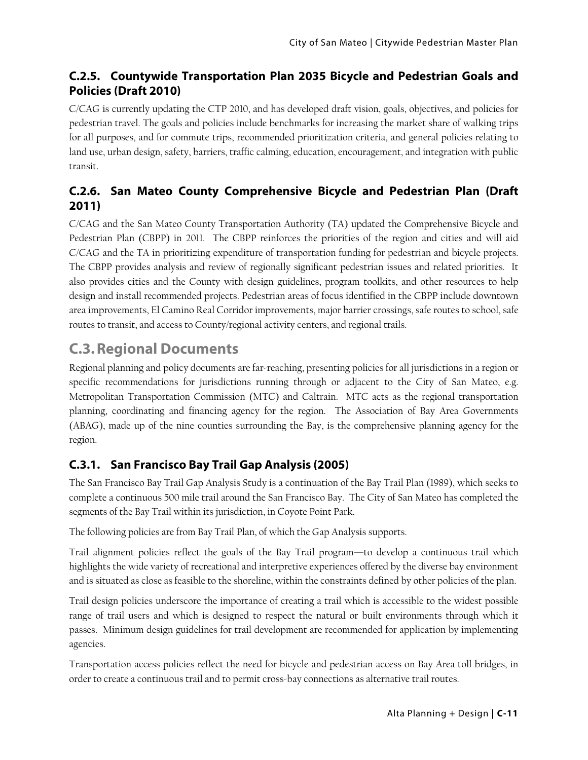# **C.2.5. Countywide Transportation Plan 2035 Bicycle and Pedestrian Goals and Policies (Draft 2010)**

C/CAG is currently updating the CTP 2010, and has developed draft vision, goals, objectives, and policies for pedestrian travel. The goals and policies include benchmarks for increasing the market share of walking trips for all purposes, and for commute trips, recommended prioritization criteria, and general policies relating to land use, urban design, safety, barriers, traffic calming, education, encouragement, and integration with public transit.

# **C.2.6. San Mateo County Comprehensive Bicycle and Pedestrian Plan (Draft 2011)**

C/CAG and the San Mateo County Transportation Authority (TA) updated the Comprehensive Bicycle and Pedestrian Plan (CBPP) in 2011. The CBPP reinforces the priorities of the region and cities and will aid C/CAG and the TA in prioritizing expenditure of transportation funding for pedestrian and bicycle projects. The CBPP provides analysis and review of regionally significant pedestrian issues and related priorities. It also provides cities and the County with design guidelines, program toolkits, and other resources to help design and install recommended projects. Pedestrian areas of focus identified in the CBPP include downtown area improvements, El Camino Real Corridor improvements, major barrier crossings, safe routes to school, safe routes to transit, and access to County/regional activity centers, and regional trails.

# **C.3.Regional Documents**

Regional planning and policy documents are far-reaching, presenting policies for all jurisdictions in a region or specific recommendations for jurisdictions running through or adjacent to the City of San Mateo, e.g. Metropolitan Transportation Commission (MTC) and Caltrain. MTC acts as the regional transportation planning, coordinating and financing agency for the region. The Association of Bay Area Governments (ABAG), made up of the nine counties surrounding the Bay, is the comprehensive planning agency for the region.

# **C.3.1. San Francisco Bay Trail Gap Analysis (2005)**

The San Francisco Bay Trail Gap Analysis Study is a continuation of the Bay Trail Plan (1989), which seeks to complete a continuous 500 mile trail around the San Francisco Bay. The City of San Mateo has completed the segments of the Bay Trail within its jurisdiction, in Coyote Point Park.

The following policies are from Bay Trail Plan, of which the Gap Analysis supports.

Trail alignment policies reflect the goals of the Bay Trail program—to develop a continuous trail which highlights the wide variety of recreational and interpretive experiences offered by the diverse bay environment and is situated as close as feasible to the shoreline, within the constraints defined by other policies of the plan.

Trail design policies underscore the importance of creating a trail which is accessible to the widest possible range of trail users and which is designed to respect the natural or built environments through which it passes. Minimum design guidelines for trail development are recommended for application by implementing agencies.

Transportation access policies reflect the need for bicycle and pedestrian access on Bay Area toll bridges, in order to create a continuous trail and to permit cross-bay connections as alternative trail routes.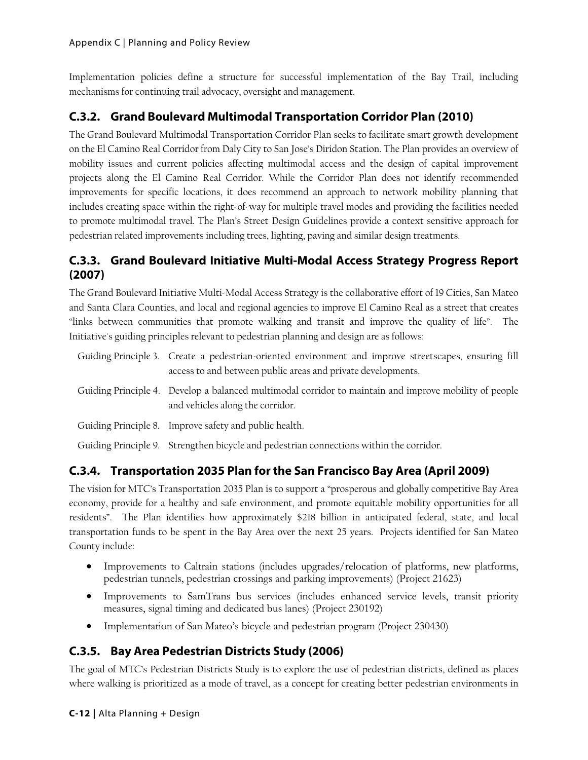Implementation policies define a structure for successful implementation of the Bay Trail, including mechanisms for continuing trail advocacy, oversight and management.

# **C.3.2. Grand Boulevard Multimodal Transportation Corridor Plan (2010)**

The Grand Boulevard Multimodal Transportation Corridor Plan seeks to facilitate smart growth development on the El Camino Real Corridor from Daly City to San Jose's Diridon Station. The Plan provides an overview of mobility issues and current policies affecting multimodal access and the design of capital improvement projects along the El Camino Real Corridor. While the Corridor Plan does not identify recommended improvements for specific locations, it does recommend an approach to network mobility planning that includes creating space within the right-of-way for multiple travel modes and providing the facilities needed to promote multimodal travel. The Plan's Street Design Guidelines provide a context sensitive approach for pedestrian related improvements including trees, lighting, paving and similar design treatments.

### **C.3.3. Grand Boulevard Initiative Multi-Modal Access Strategy Progress Report (2007)**

The Grand Boulevard Initiative Multi-Modal Access Strategy is the collaborative effort of 19 Cities, San Mateo and Santa Clara Counties, and local and regional agencies to improve El Camino Real as a street that creates "links between communities that promote walking and transit and improve the quality of life". The Initiative's guiding principles relevant to pedestrian planning and design are as follows:

| Guiding Principle 3. Create a pedestrian-oriented environment and improve streetscapes, ensuring fill<br>access to and between public areas and private developments. |
|-----------------------------------------------------------------------------------------------------------------------------------------------------------------------|
| Guiding Principle 4. Develop a balanced multimodal corridor to maintain and improve mobility of people<br>and vehicles along the corridor.                            |
| Guiding Principle 8. Improve safety and public health.                                                                                                                |

Guiding Principle 9. Strengthen bicycle and pedestrian connections within the corridor.

# **C.3.4. Transportation 2035 Plan for the San Francisco Bay Area (April 2009)**

The vision for MTC's Transportation 2035 Plan is to support a "prosperous and globally competitive Bay Area economy, provide for a healthy and safe environment, and promote equitable mobility opportunities for all residents". The Plan identifies how approximately \$218 billion in anticipated federal, state, and local transportation funds to be spent in the Bay Area over the next 25 years. Projects identified for San Mateo County include:

- Improvements to Caltrain stations (includes upgrades/relocation of platforms, new platforms, pedestrian tunnels, pedestrian crossings and parking improvements) (Project 21623)
- Improvements to SamTrans bus services (includes enhanced service levels, transit priority measures, signal timing and dedicated bus lanes) (Project 230192)
- Implementation of San Mateo's bicycle and pedestrian program (Project 230430)

# **C.3.5. Bay Area Pedestrian Districts Study (2006)**

The goal of MTC's Pedestrian Districts Study is to explore the use of pedestrian districts, defined as places where walking is prioritized as a mode of travel, as a concept for creating better pedestrian environments in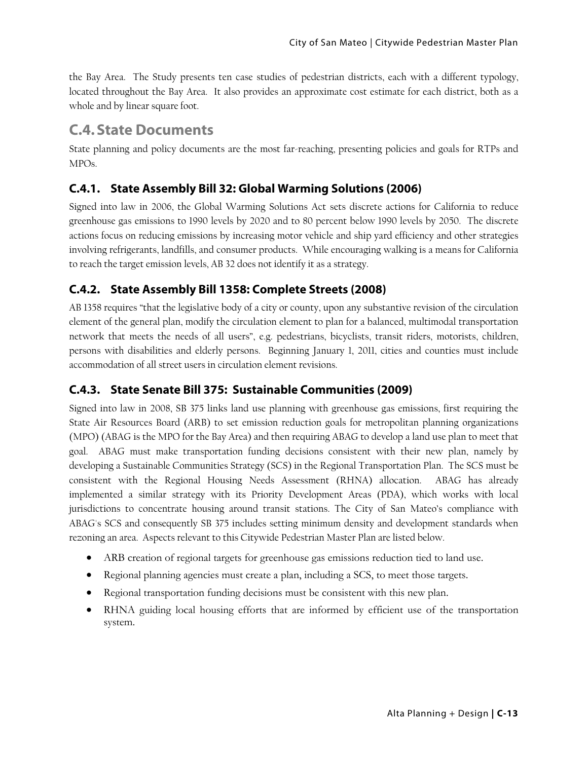the Bay Area. The Study presents ten case studies of pedestrian districts, each with a different typology, located throughout the Bay Area. It also provides an approximate cost estimate for each district, both as a whole and by linear square foot.

# **C.4.State Documents**

State planning and policy documents are the most far-reaching, presenting policies and goals for RTPs and MPOs.

#### **C.4.1. State Assembly Bill 32: Global Warming Solutions (2006)**

Signed into law in 2006, the Global Warming Solutions Act sets discrete actions for California to reduce greenhouse gas emissions to 1990 levels by 2020 and to 80 percent below 1990 levels by 2050. The discrete actions focus on reducing emissions by increasing motor vehicle and ship yard efficiency and other strategies involving refrigerants, landfills, and consumer products. While encouraging walking is a means for California to reach the target emission levels, AB 32 does not identify it as a strategy.

# **C.4.2. State Assembly Bill 1358: Complete Streets (2008)**

AB 1358 requires "that the legislative body of a city or county, upon any substantive revision of the circulation element of the general plan, modify the circulation element to plan for a balanced, multimodal transportation network that meets the needs of all users", e.g. pedestrians, bicyclists, transit riders, motorists, children, persons with disabilities and elderly persons. Beginning January 1, 2011, cities and counties must include accommodation of all street users in circulation element revisions.

# **C.4.3. State Senate Bill 375: Sustainable Communities (2009)**

Signed into law in 2008, SB 375 links land use planning with greenhouse gas emissions, first requiring the State Air Resources Board (ARB) to set emission reduction goals for metropolitan planning organizations (MPO) (ABAG is the MPO for the Bay Area) and then requiring ABAG to develop a land use plan to meet that goal. ABAG must make transportation funding decisions consistent with their new plan, namely by developing a Sustainable Communities Strategy (SCS) in the Regional Transportation Plan. The SCS must be consistent with the Regional Housing Needs Assessment (RHNA) allocation. ABAG has already implemented a similar strategy with its Priority Development Areas (PDA), which works with local jurisdictions to concentrate housing around transit stations. The City of San Mateo's compliance with ABAG's SCS and consequently SB 375 includes setting minimum density and development standards when rezoning an area. Aspects relevant to this Citywide Pedestrian Master Plan are listed below.

- ARB creation of regional targets for greenhouse gas emissions reduction tied to land use.
- Regional planning agencies must create a plan, including a SCS, to meet those targets.
- Regional transportation funding decisions must be consistent with this new plan.
- RHNA guiding local housing efforts that are informed by efficient use of the transportation system.